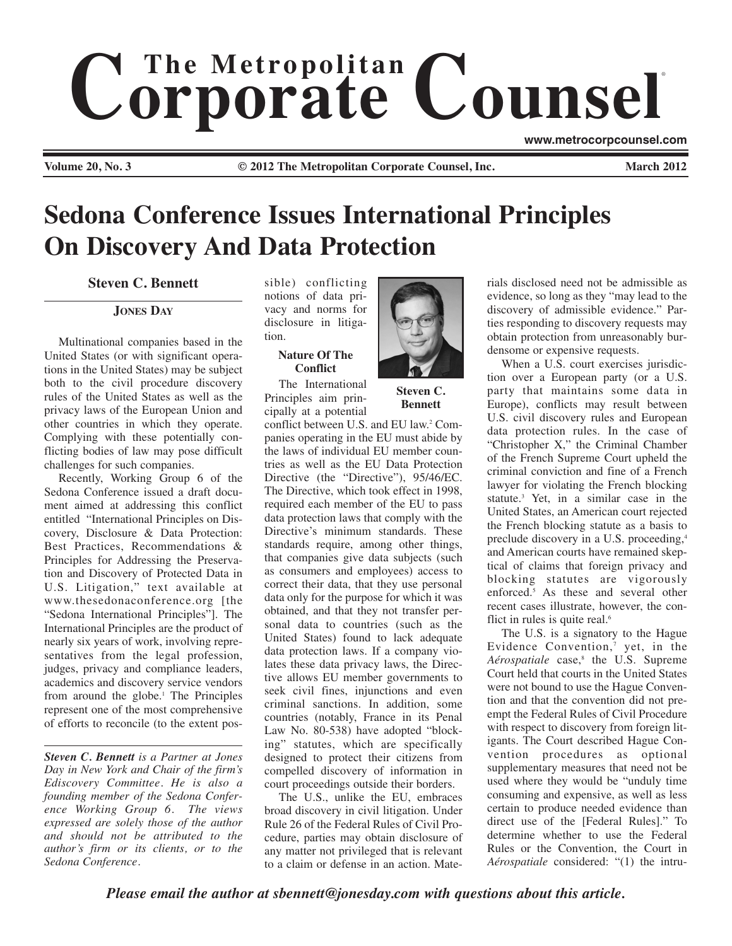# $$ ®

**Volume 20, No. 3 Cauca 2012 Conserved Counsel Counsel, Inc.** March 2012

**www.metrocorpcounsel.com**

# **Sedona Conference Issues International Principles On Discovery And Data Protection**

**Steven C. Bennett**

## **JONES DAY**

Multinational companies based in the United States (or with significant operations in the United States) may be subject both to the civil procedure discovery rules of the United States as well as the privacy laws of the European Union and other countries in which they operate. Complying with these potentially conflicting bodies of law may pose difficult challenges for such companies.

Recently, Working Group 6 of the Sedona Conference issued a draft document aimed at addressing this conflict entitled "International Principles on Discovery, Disclosure & Data Protection: Best Practices, Recommendations & Principles for Addressing the Preservation and Discovery of Protected Data in U.S. Litigation," text available at www.thesedonaconference.org [the "Sedona International Principles"]. The International Principles are the product of nearly six years of work, involving representatives from the legal profession, judges, privacy and compliance leaders, academics and discovery service vendors from around the globe.<sup>1</sup> The Principles represent one of the most comprehensive of efforts to reconcile (to the extent pos-

*Steven C. Bennett is a Partner at Jones Day in New York and Chair of the firm's Ediscovery Committee. He is also a founding member of the Sedona Conference Working Group 6. The views expressed are solely those of the author and should not be attributed to the author's firm or its clients, or to the Sedona Conference.*

sible) conflicting notions of data privacy and norms for disclosure in litigation.

### **Nature Of The Conflict**

The International Principles aim principally at a potential

conflict between U.S. and EU law.<sup>2</sup> Companies operating in the EU must abide by the laws of individual EU member countries as well as the EU Data Protection Directive (the "Directive"), 95/46/EC. The Directive, which took effect in 1998, required each member of the EU to pass data protection laws that comply with the Directive's minimum standards. These standards require, among other things, that companies give data subjects (such as consumers and employees) access to correct their data, that they use personal data only for the purpose for which it was obtained, and that they not transfer personal data to countries (such as the United States) found to lack adequate data protection laws. If a company violates these data privacy laws, the Directive allows EU member governments to seek civil fines, injunctions and even criminal sanctions. In addition, some countries (notably, France in its Penal Law No. 80-538) have adopted "blocking" statutes, which are specifically designed to protect their citizens from compelled discovery of information in court proceedings outside their borders.

The U.S., unlike the EU, embraces broad discovery in civil litigation. Under Rule 26 of the Federal Rules of Civil Procedure, parties may obtain disclosure of any matter not privileged that is relevant to a claim or defense in an action. Mate-



**Steven C. Bennett**

rials disclosed need not be admissible as evidence, so long as they "may lead to the discovery of admissible evidence." Parties responding to discovery requests may obtain protection from unreasonably burdensome or expensive requests.

When a U.S. court exercises jurisdiction over a European party (or a U.S. party that maintains some data in Europe), conflicts may result between U.S. civil discovery rules and European data protection rules. In the case of "Christopher X," the Criminal Chamber of the French Supreme Court upheld the criminal conviction and fine of a French lawyer for violating the French blocking statute.3 Yet, in a similar case in the United States, an American court rejected the French blocking statute as a basis to preclude discovery in a U.S. proceeding,4 and American courts have remained skeptical of claims that foreign privacy and blocking statutes are vigorously enforced.<sup>5</sup> As these and several other recent cases illustrate, however, the conflict in rules is quite real.<sup>6</sup>

The U.S. is a signatory to the Hague Evidence Convention, $\gamma$  yet, in the *Aérospatiale* case,<sup>8</sup> the U.S. Supreme Court held that courts in the United States were not bound to use the Hague Convention and that the convention did not preempt the Federal Rules of Civil Procedure with respect to discovery from foreign litigants. The Court described Hague Convention procedures as optional supplementary measures that need not be used where they would be "unduly time consuming and expensive, as well as less certain to produce needed evidence than direct use of the [Federal Rules]." To determine whether to use the Federal Rules or the Convention, the Court in *Aérospatiale* considered: "(1) the intru